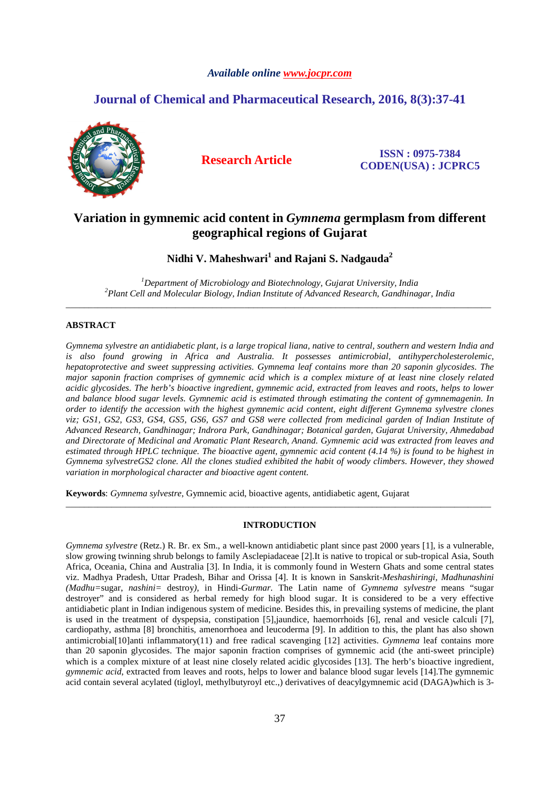# *Available online www.jocpr.com*

# **Journal of Chemical and Pharmaceutical Research, 2016, 8(3):37-41**



**Research Article ISSN : 0975-7384 CODEN(USA) : JCPRC5**

# **Variation in gymnemic acid content in** *Gymnema* **germplasm from different geographical regions of Gujarat**

**Nidhi V. Maheshwari<sup>1</sup> and Rajani S. Nadgauda<sup>2</sup>**

*<sup>1</sup>Department of Microbiology and Biotechnology, Gujarat University, India <sup>2</sup>Plant Cell and Molecular Biology, Indian Institute of Advanced Research, Gandhinagar, India*  \_\_\_\_\_\_\_\_\_\_\_\_\_\_\_\_\_\_\_\_\_\_\_\_\_\_\_\_\_\_\_\_\_\_\_\_\_\_\_\_\_\_\_\_\_\_\_\_\_\_\_\_\_\_\_\_\_\_\_\_\_\_\_\_\_\_\_\_\_\_\_\_\_\_\_\_\_\_\_\_\_\_\_\_\_\_\_\_\_\_\_\_\_

# **ABSTRACT**

*Gymnema sylvestre an antidiabetic plant, is a large tropical liana, native to central, southern and western India and is also found growing in Africa and Australia. It possesses antimicrobial, antihypercholesterolemic, hepatoprotective and sweet suppressing activities. Gymnema leaf contains more than 20 saponin glycosides. The major saponin fraction comprises of gymnemic acid which is a complex mixture of at least nine closely related acidic glycosides. The herb's bioactive ingredient, gymnemic acid*, *extracted from leaves and roots, helps to lower and balance blood sugar levels. Gymnemic acid is estimated through estimating the content of gymnemagenin. In order to identify the accession with the highest gymnemic acid content, eight different Gymnema sylvestre clones viz; GS1, GS2, GS3, GS4, GS5, GS6, GS7 and GS8 were collected from medicinal garden of Indian Institute of Advanced Research, Gandhinagar; Indrora Park, Gandhinagar; Botanical garden, Gujarat University, Ahmedabad and Directorate of Medicinal and Aromatic Plant Research, Anand. Gymnemic acid was extracted from leaves and estimated through HPLC technique. The bioactive agent, gymnemic acid content (4.14 %) is found to be highest in Gymnema sylvestreGS2 clone. All the clones studied exhibited the habit of woody climbers. However, they showed variation in morphological character and bioactive agent content.* 

**Keywords**: *Gymnema sylvestre*, Gymnemic acid, bioactive agents, antidiabetic agent, Gujarat

# **INTRODUCTION**

\_\_\_\_\_\_\_\_\_\_\_\_\_\_\_\_\_\_\_\_\_\_\_\_\_\_\_\_\_\_\_\_\_\_\_\_\_\_\_\_\_\_\_\_\_\_\_\_\_\_\_\_\_\_\_\_\_\_\_\_\_\_\_\_\_\_\_\_\_\_\_\_\_\_\_\_\_\_\_\_\_\_\_\_\_\_\_\_\_\_\_\_\_

*Gymnema sylvestre* (Retz.) R. Br. ex Sm., a well-known antidiabetic plant since past 2000 years [1], is a vulnerable, slow growing twinning shrub belongs to family Asclepiadaceae [2].It is native to tropical or sub-tropical Asia, South Africa, Oceania, China and Australia [3]. In India, it is commonly found in Western Ghats and some central states viz. Madhya Pradesh, Uttar Pradesh, Bihar and Orissa [4]. It is known in Sanskrit-*Meshashiringi, Madhunashini (Madhu=*sugar, *nashini=* destroy*),* in Hindi-*Gurmar.* The Latin name of *Gymnema sylvestre* means "sugar destroyer" and is considered as herbal remedy for high blood sugar. It is considered to be a very effective antidiabetic plant in Indian indigenous system of medicine. Besides this, in prevailing systems of medicine, the plant is used in the treatment of dyspepsia, constipation [5],jaundice, haemorrhoids [6], renal and vesicle calculi [7], cardiopathy, asthma [8] bronchitis, amenorrhoea and leucoderma [9]. In addition to this, the plant has also shown antimicrobial[10]anti inflammatory(11) and free radical scavenging [12] activities. *Gymnema* leaf contains more than 20 saponin glycosides. The major saponin fraction comprises of gymnemic acid (the anti-sweet principle) which is a complex mixture of at least nine closely related acidic glycosides [13]. The herb's bioactive ingredient, *gymnemic acid*, extracted from leaves and roots, helps to lower and balance blood sugar levels [14].The gymnemic acid contain several acylated (tigloyl, methylbutyroyl etc.,) derivatives of deacylgymnemic acid (DAGA)which is 3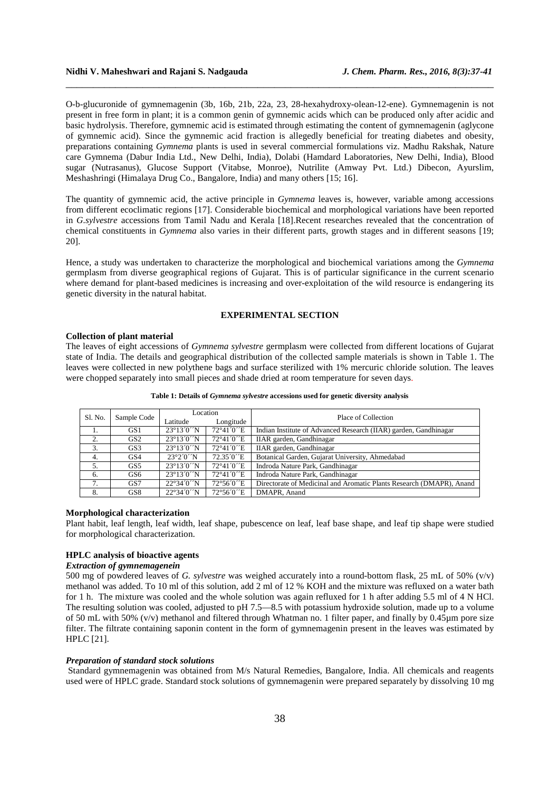O-b-glucuronide of gymnemagenin (3b, 16b, 21b, 22a, 23, 28-hexahydroxy-olean-12-ene). Gymnemagenin is not present in free form in plant; it is a common genin of gymnemic acids which can be produced only after acidic and basic hydrolysis. Therefore, gymnemic acid is estimated through estimating the content of gymnemagenin (aglycone of gymnemic acid). Since the gymnemic acid fraction is allegedly beneficial for treating diabetes and obesity, preparations containing *Gymnema* plants is used in several commercial formulations viz. Madhu Rakshak, Nature care Gymnema (Dabur India Ltd., New Delhi, India), Dolabi (Hamdard Laboratories, New Delhi, India), Blood sugar (Nutrasanus), Glucose Support (Vitabse, Monroe), Nutrilite (Amway Pvt. Ltd.) Dibecon, Ayurslim, Meshashringi (Himalaya Drug Co., Bangalore, India) and many others [15; 16].

\_\_\_\_\_\_\_\_\_\_\_\_\_\_\_\_\_\_\_\_\_\_\_\_\_\_\_\_\_\_\_\_\_\_\_\_\_\_\_\_\_\_\_\_\_\_\_\_\_\_\_\_\_\_\_\_\_\_\_\_\_\_\_\_\_\_\_\_\_\_\_\_\_\_\_\_\_\_

The quantity of gymnemic acid, the active principle in *Gymnema* leaves is, however, variable among accessions from different ecoclimatic regions [17]. Considerable biochemical and morphological variations have been reported in *G.sylvestre* accessions from Tamil Nadu and Kerala [18].Recent researches revealed that the concentration of chemical constituents in *Gymnema* also varies in their different parts, growth stages and in different seasons [19; 20].

Hence, a study was undertaken to characterize the morphological and biochemical variations among the *Gymnema*  germplasm from diverse geographical regions of Gujarat. This is of particular significance in the current scenario where demand for plant-based medicines is increasing and over-exploitation of the wild resource is endangering its genetic diversity in the natural habitat.

# **EXPERIMENTAL SECTION**

#### **Collection of plant material**

The leaves of eight accessions of *Gymnema sylvestre* germplasm were collected from different locations of Gujarat state of India. The details and geographical distribution of the collected sample materials is shown in Table 1. The leaves were collected in new polythene bags and surface sterilized with 1% mercuric chloride solution. The leaves were chopped separately into small pieces and shade dried at room temperature for seven days.

| Sl. No. | Sample Code     | Location                           |             | Place of Collection                                                  |  |  |
|---------|-----------------|------------------------------------|-------------|----------------------------------------------------------------------|--|--|
|         |                 | Latitude                           | Longitude   |                                                                      |  |  |
| 1.      | GS <sub>1</sub> | $23^{\circ}13^{\prime}0^{\prime}N$ | 72°41′0′E   | Indian Institute of Advanced Research (IIAR) garden, Gandhinagar     |  |  |
| 2.      | GS <sub>2</sub> | $23^{\circ}13^{\prime}0^{\prime}N$ | 72°41′0′E   | IIAR garden, Gandhinagar                                             |  |  |
| 3.      | GS3             | $23^{\circ}13'0'N$                 | 72°41′0′E   | IIAR garden, Gandhinagar                                             |  |  |
| 4.      | GS <sub>4</sub> | 23°20'N                            | 72.35 ° C'E | Botanical Garden, Gujarat University, Ahmedabad                      |  |  |
| 5.      | GS <sub>5</sub> | $23^{\circ}13^{\prime}0^{\prime}N$ | 72°41′0′E   | Indroda Nature Park, Gandhinagar                                     |  |  |
| 6.      | GS <sub>6</sub> | $23^{\circ}13^{\prime}0^{\prime}N$ | 72°41′0′E   | Indroda Nature Park, Gandhinagar                                     |  |  |
| 7.      | GS7             | $22^{\circ}34^{\circ}0^{\prime}N$  | 72°56′0″E   | Directorate of Medicinal and Aromatic Plants Research (DMAPR), Anand |  |  |
| 8.      | GS8             | $22^{\circ}34^{\circ}0^{\prime}N$  | 72°56′0′E   | DMAPR, Anand                                                         |  |  |

**Table 1: Details of** *Gymnema sylvestre* **accessions used for genetic diversity analysis** 

#### **Morphological characterization**

Plant habit, leaf length, leaf width, leaf shape, pubescence on leaf, leaf base shape, and leaf tip shape were studied for morphological characterization.

### **HPLC analysis of bioactive agents**

# *Extraction of gymnemagenein*

500 mg of powdered leaves of *G. sylvestre* was weighed accurately into a round-bottom flask, 25 mL of 50% (v/v) methanol was added. To 10 ml of this solution, add 2 ml of 12 % KOH and the mixture was refluxed on a water bath for 1 h. The mixture was cooled and the whole solution was again refluxed for 1 h after adding 5.5 ml of 4 N HCl. The resulting solution was cooled, adjusted to pH 7.5—8.5 with potassium hydroxide solution, made up to a volume of 50 mL with 50% (v/v) methanol and filtered through Whatman no. 1 filter paper, and finally by 0.45µm pore size filter. The filtrate containing saponin content in the form of gymnemagenin present in the leaves was estimated by HPLC [21].

#### *Preparation of standard stock solutions*

 Standard gymnemagenin was obtained from M/s Natural Remedies, Bangalore, India. All chemicals and reagents used were of HPLC grade. Standard stock solutions of gymnemagenin were prepared separately by dissolving 10 mg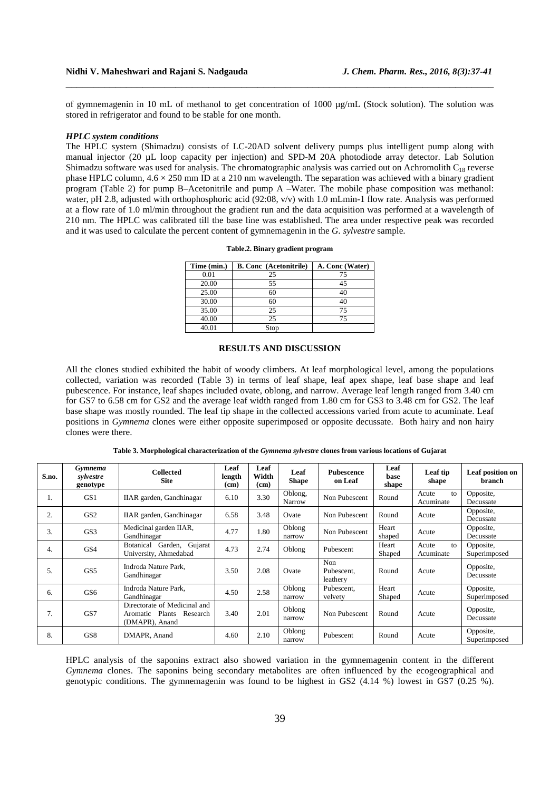of gymnemagenin in 10 mL of methanol to get concentration of 1000 µg/mL (Stock solution). The solution was stored in refrigerator and found to be stable for one month.

\_\_\_\_\_\_\_\_\_\_\_\_\_\_\_\_\_\_\_\_\_\_\_\_\_\_\_\_\_\_\_\_\_\_\_\_\_\_\_\_\_\_\_\_\_\_\_\_\_\_\_\_\_\_\_\_\_\_\_\_\_\_\_\_\_\_\_\_\_\_\_\_\_\_\_\_\_\_

#### *HPLC system conditions*

The HPLC system (Shimadzu) consists of LC-20AD solvent delivery pumps plus intelligent pump along with manual injector (20 µL loop capacity per injection) and SPD-M 20A photodiode array detector. Lab Solution Shimadzu software was used for analysis. The chromatographic analysis was carried out on Achromolith  $C_{18}$  reverse phase HPLC column,  $4.6 \times 250$  mm ID at a 210 nm wavelength. The separation was achieved with a binary gradient program (Table 2) for pump B–Acetonitrile and pump A –Water. The mobile phase composition was methanol: water, pH 2.8, adjusted with orthophosphoric acid (92:08, v/v) with 1.0 mLmin-1 flow rate. Analysis was performed at a flow rate of 1.0 ml/min throughout the gradient run and the data acquisition was performed at a wavelength of 210 nm. The HPLC was calibrated till the base line was established. The area under respective peak was recorded and it was used to calculate the percent content of gymnemagenin in the *G. sylvestre* sample.

| Time (min.) | <b>B. Conc</b> (Acetonitrile) | A. Conc (Water) |
|-------------|-------------------------------|-----------------|
| 0.01        | 25                            | 75              |
| 20.00       | 55                            | 45              |
| 25.00       | 60                            | 40              |
| 30.00       | 60                            | 40              |
| 35.00       | 25                            | 75              |
| 40.00       | 25                            | 75              |
| 40.01       | Stop                          |                 |

**Table.2. Binary gradient program** 

### **RESULTS AND DISCUSSION**

All the clones studied exhibited the habit of woody climbers. At leaf morphological level, among the populations collected, variation was recorded (Table 3) in terms of leaf shape, leaf apex shape, leaf base shape and leaf pubescence. For instance, leaf shapes included ovate, oblong, and narrow. Average leaf length ranged from 3.40 cm for GS7 to 6.58 cm for GS2 and the average leaf width ranged from 1.80 cm for GS3 to 3.48 cm for GS2. The leaf base shape was mostly rounded. The leaf tip shape in the collected accessions varied from acute to acuminate. Leaf positions in *Gymnema* clones were either opposite superimposed or opposite decussate. Both hairy and non hairy clones were there.

| S.no.            | Gymnema<br>sylvestre<br>genotype | Collected<br><b>Site</b>                                                      | Leaf<br>length<br>(cm) | Leaf<br>Width<br>(cm) | Leaf<br><b>Shape</b>     | Pubescence<br>on Leaf         | Leaf<br>base<br>shape | Leaf tip<br>shape        | Leaf position on<br>branch |
|------------------|----------------------------------|-------------------------------------------------------------------------------|------------------------|-----------------------|--------------------------|-------------------------------|-----------------------|--------------------------|----------------------------|
| 1.               | GS <sub>1</sub>                  | IIAR garden, Gandhinagar                                                      | 6.10                   | 3.30                  | Oblong,<br><b>Narrow</b> | Non Pubescent                 | Round                 | Acute<br>to<br>Acuminate | Opposite,<br>Decussate     |
| 2.               | GS <sub>2</sub>                  | IIAR garden, Gandhinagar                                                      | 6.58                   | 3.48                  | Ovate                    | Non Pubescent                 | Round                 | Acute                    | Opposite,<br>Decussate     |
| 3.               | GS3                              | Medicinal garden IIAR,<br>Gandhinagar                                         | 4.77                   | 1.80                  | Oblong<br>narrow         | Non Pubescent                 | Heart<br>shaped       | Acute                    | Opposite,<br>Decussate     |
| $\overline{4}$ . | GS4                              | Garden, Gujarat<br><b>Botanical</b><br>University, Ahmedabad                  | 4.73                   | 2.74                  | Oblong                   | Pubescent                     | Heart<br>Shaped       | Acute<br>to<br>Acuminate | Opposite,<br>Superimposed  |
| 5.               | GS <sub>5</sub>                  | Indroda Nature Park.<br>Gandhinagar                                           | 3.50                   | 2.08                  | Ovate                    | Non<br>Pubescent.<br>leathery | Round                 | Acute                    | Opposite,<br>Decussate     |
| 6.               | GS6                              | Indroda Nature Park,<br>Gandhinagar                                           | 4.50                   | 2.58                  | Oblong<br>narrow         | Pubescent,<br>velvety         | Heart<br>Shaped       | Acute                    | Opposite,<br>Superimposed  |
| 7.               | GS7                              | Directorate of Medicinal and<br>Aromatic Plants<br>Research<br>(DMAPR), Anand | 3.40                   | 2.01                  | Oblong<br>narrow         | Non Pubescent                 | Round                 | Acute                    | Opposite,<br>Decussate     |
| 8.               | GS8                              | DMAPR, Anand                                                                  | 4.60                   | 2.10                  | Oblong<br>narrow         | Pubescent                     | Round                 | Acute                    | Opposite,<br>Superimposed  |

HPLC analysis of the saponins extract also showed variation in the gymnemagenin content in the different *Gymnema* clones. The saponins being secondary metabolites are often influenced by the ecogeographical and genotypic conditions. The gymnemagenin was found to be highest in GS2 (4.14 %) lowest in GS7 (0.25 %).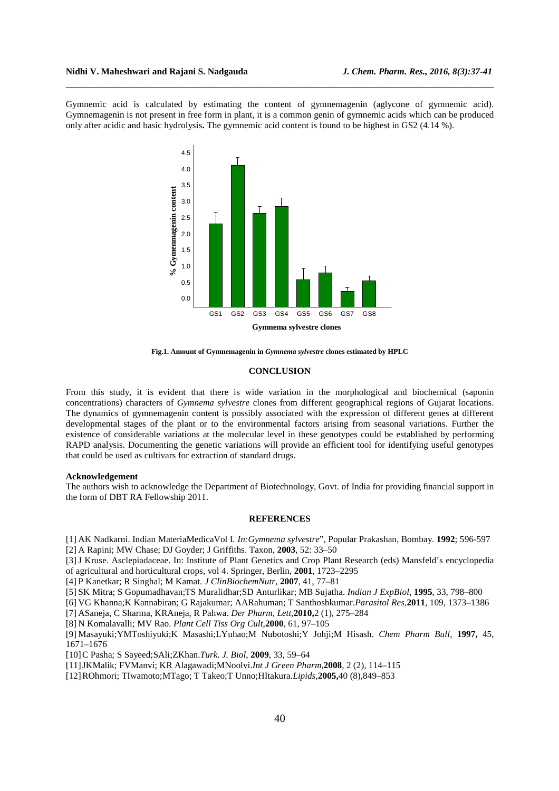Gymnemic acid is calculated by estimating the content of gymnemagenin (aglycone of gymnemic acid). Gymnemagenin is not present in free form in plant, it is a common genin of gymnemic acids which can be produced only after acidic and basic hydrolysis**.** The gymnemic acid content is found to be highest in GS2 (4.14 %).

\_\_\_\_\_\_\_\_\_\_\_\_\_\_\_\_\_\_\_\_\_\_\_\_\_\_\_\_\_\_\_\_\_\_\_\_\_\_\_\_\_\_\_\_\_\_\_\_\_\_\_\_\_\_\_\_\_\_\_\_\_\_\_\_\_\_\_\_\_\_\_\_\_\_\_\_\_\_



**Fig.1. Amount of Gymnemagenin in** *Gymnema sylvestre* **clones estimated by HPLC** 

### **CONCLUSION**

From this study, it is evident that there is wide variation in the morphological and biochemical (saponin concentrations) characters of *Gymnema sylvestre* clones from different geographical regions of Gujarat locations. The dynamics of gymnemagenin content is possibly associated with the expression of different genes at different developmental stages of the plant or to the environmental factors arising from seasonal variations. Further the existence of considerable variations at the molecular level in these genotypes could be established by performing RAPD analysis. Documenting the genetic variations will provide an efficient tool for identifying useful genotypes that could be used as cultivars for extraction of standard drugs.

#### **Acknowledgement**

The authors wish to acknowledge the Department of Biotechnology, Govt. of India for providing financial support in the form of DBT RA Fellowship 2011.

### **REFERENCES**

[1] AK Nadkarni. Indian MateriaMedicaVol I*. In:Gymnema sylvestre*", Popular Prakashan, Bombay. **1992**; 596-597

[2] A Rapini; MW Chase; DJ Goyder; J Griffiths. Taxon, **2003**, 52: 33–50

[3]J Kruse. Asclepiadaceae. In: Institute of Plant Genetics and Crop Plant Research (eds) Mansfeld's encyclopedia of agricultural and horticultural crops, vol 4. Springer, Berlin, **2001**, 1723–2295

[4] P Kanetkar; R Singhal; M Kamat. *J ClinBiochemNutr*, **2007**, 41, 77–81

[5] SK Mitra; S Gopumadhavan;TS Muralidhar;SD Anturlikar; MB Sujatha. *Indian J ExpBiol*, **1995**, 33, 798–800

[6] VG Khanna;K Kannabiran; G Rajakumar; AARahuman; T Santhoshkumar.*Parasitol Res,***2011**, 109, 1373–1386

[7] ASaneja, C Sharma, KRAneja, R Pahwa. *Der Pharm, Lett,***2010,**2 (1), 275–284

[8] N Komalavalli; MV Rao. *Plant Cell Tiss Org Cult,***2000**, 61, 97–105

[9] Masayuki;YMToshiyuki;K Masashi;LYuhao;M Nubotoshi;Y Johji;M Hisash. *Chem Pharm Bull*, **1997,** 45, 1671–1676

[10]C Pasha; S Sayeed;SAli;ZKhan.*Turk. J. Biol*, **2009**, 33, 59–64

[11]JKMalik; FVManvi; KR Alagawadi;MNoolvi.*Int J Green Pharm,***2008**, 2 (2), 114–115

[12]ROhmori; TIwamoto;MTago; T Takeo;T Unno;HItakura.*Lipids,***2005,**40 (8),849–853